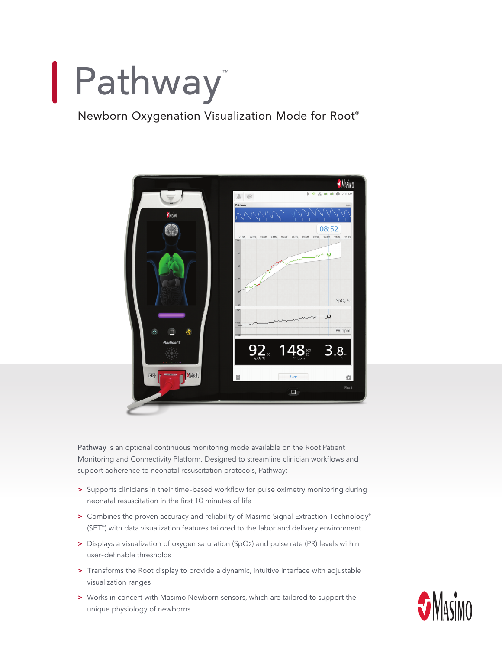# Pathway™

## Newborn Oxygenation Visualization Mode for Root®



**Pathway** is an optional continuous monitoring mode available on the Root Patient Monitoring and Connectivity Platform. Designed to streamline clinician workflows and support adherence to neonatal resuscitation protocols, Pathway:

- **>** Supports clinicians in their time-based workflow for pulse oximetry monitoring during neonatal resuscitation in the first 10 minutes of life
- > Combines the proven accuracy and reliability of Masimo Signal Extraction Technology® (SET®) with data visualization features tailored to the labor and delivery environment
- **>** Displays a visualization of oxygen saturation (SpO2) and pulse rate (PR) levels within user-definable thresholds
- **>** Transforms the Root display to provide a dynamic, intuitive interface with adjustable visualization ranges
- **>** Works in concert with Masimo Newborn sensors, which are tailored to support the unique physiology of newborns